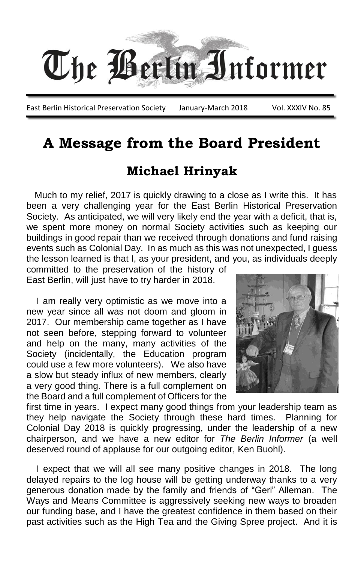

East Berlin Historical Preservation Society January-March 2018 Vol. XXXIV No. 85

## **A Message from the Board President**

## **Michael Hrinyak**

 Much to my relief, 2017 is quickly drawing to a close as I write this. It has been a very challenging year for the East Berlin Historical Preservation Society. As anticipated, we will very likely end the year with a deficit, that is, we spent more money on normal Society activities such as keeping our buildings in good repair than we received through donations and fund raising events such as Colonial Day. In as much as this was not unexpected, I guess the lesson learned is that I, as your president, and you, as individuals deeply

committed to the preservation of the history of East Berlin, will just have to try harder in 2018.

 I am really very optimistic as we move into a new year since all was not doom and gloom in 2017. Our membership came together as I have not seen before, stepping forward to volunteer and help on the many, many activities of the Society (incidentally, the Education program could use a few more volunteers). We also have a slow but steady influx of new members, clearly a very good thing. There is a full complement on the Board and a full complement of Officers for the



first time in years. I expect many good things from your leadership team as they help navigate the Society through these hard times. Planning for Colonial Day 2018 is quickly progressing, under the leadership of a new chairperson, and we have a new editor for *The Berlin Informer* (a well deserved round of applause for our outgoing editor, Ken Buohl).

 I expect that we will all see many positive changes in 2018. The long delayed repairs to the log house will be getting underway thanks to a very generous donation made by the family and friends of "Geri" Alleman. The Ways and Means Committee is aggressively seeking new ways to broaden our funding base, and I have the greatest confidence in them based on their past activities such as the High Tea and the Giving Spree project. And it is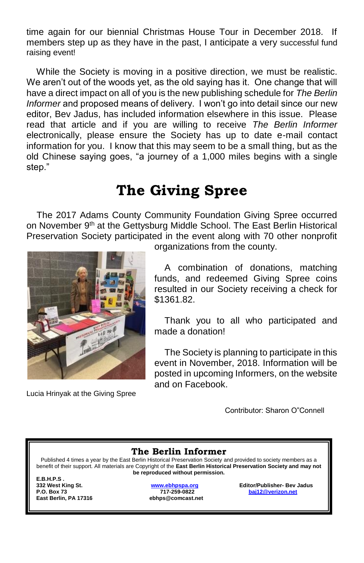time again for our biennial Christmas House Tour in December 2018. If members step up as they have in the past, I anticipate a very successful fund raising event!

 While the Society is moving in a positive direction, we must be realistic. We aren't out of the woods yet, as the old saying has it. One change that will have a direct impact on all of you is the new publishing schedule for *The Berlin Informer* and proposed means of delivery. I won't go into detail since our new editor, Bev Jadus, has included information elsewhere in this issue. Please read that article and if you are willing to receive *The Berlin Informer* electronically, please ensure the Society has up to date e-mail contact information for you. I know that this may seem to be a small thing, but as the old Chinese saying goes, "a journey of a 1,000 miles begins with a single step."

# **The Giving Spree**

 The 2017 Adams County Community Foundation Giving Spree occurred on November 9<sup>th</sup> at the Gettysburg Middle School. The East Berlin Historical Preservation Society participated in the event along with 70 other nonprofit



Lucia Hrinyak at the Giving Spree

organizations from the county.

 A combination of donations, matching funds, and redeemed Giving Spree coins resulted in our Society receiving a check for \$1361.82.

 Thank you to all who participated and made a donation!

 The Society is planning to participate in this event in November, 2018. Information will be posted in upcoming Informers, on the website and on Facebook.

Contributor: Sharon O"Connell

#### **The Berlin Informer**

Published 4 times a year by the East Berlin Historical Preservation Society and provided to society members as a benefit of their support. All materials are Copyright of the **East Berlin Historical Preservation Society and may not be reproduced without permission.**

**E.B.H.P.S .** 

**P.O. Box 73 717-259-0822 [baj12@verizon.net](mailto:baj12@verizon.net) East Berlin, PA 17316 ebhps@comcast.net**

**332 West King St. [www.ebhpspa.org](http://www.ebhpspa.org/) Editor/Publisher- Bev Jadus**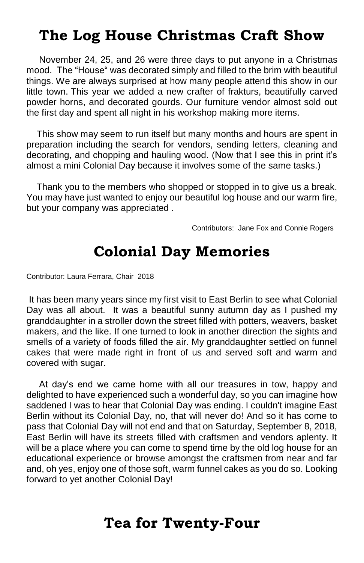# **The Log House Christmas Craft Show**

 November 24, 25, and 26 were three days to put anyone in a Christmas mood. The "House" was decorated simply and filled to the brim with beautiful things. We are always surprised at how many people attend this show in our little town. This year we added a new crafter of frakturs, beautifully carved powder horns, and decorated gourds. Our furniture vendor almost sold out the first day and spent all night in his workshop making more items.

 This show may seem to run itself but many months and hours are spent in preparation including the search for vendors, sending letters, cleaning and decorating, and chopping and hauling wood. (Now that I see this in print it's almost a mini Colonial Day because it involves some of the same tasks.)

 Thank you to the members who shopped or stopped in to give us a break. You may have just wanted to enjoy our beautiful log house and our warm fire, but your company was appreciated .

Contributors: Jane Fox and Connie Rogers

## **Colonial Day Memories**

Contributor: Laura Ferrara, Chair 2018

It has been many years since my first visit to East Berlin to see what Colonial Day was all about. It was a beautiful sunny autumn day as I pushed my granddaughter in a stroller down the street filled with potters, weavers, basket makers, and the like. If one turned to look in another direction the sights and smells of a variety of foods filled the air. My granddaughter settled on funnel cakes that were made right in front of us and served soft and warm and covered with sugar.

 At day's end we came home with all our treasures in tow, happy and delighted to have experienced such a wonderful day, so you can imagine how saddened I was to hear that Colonial Day was ending. I couldn't imagine East Berlin without its Colonial Day, no, that will never do! And so it has come to pass that Colonial Day will not end and that on Saturday, September 8, 2018, East Berlin will have its streets filled with craftsmen and vendors aplenty. It will be a place where you can come to spend time by the old log house for an educational experience or browse amongst the craftsmen from near and far and, oh yes, enjoy one of those soft, warm funnel cakes as you do so. Looking forward to yet another Colonial Day!

## **Tea for Twenty-Four**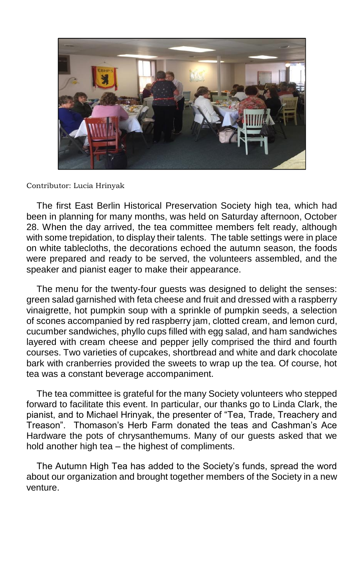

#### Contributor: Lucia Hrinyak

 The first East Berlin Historical Preservation Society high tea, which had been in planning for many months, was held on Saturday afternoon, October 28. When the day arrived, the tea committee members felt ready, although with some trepidation, to display their talents. The table settings were in place on white tablecloths, the decorations echoed the autumn season, the foods were prepared and ready to be served, the volunteers assembled, and the speaker and pianist eager to make their appearance.

 The menu for the twenty-four guests was designed to delight the senses: green salad garnished with feta cheese and fruit and dressed with a raspberry vinaigrette, hot pumpkin soup with a sprinkle of pumpkin seeds, a selection of scones accompanied by red raspberry jam, clotted cream, and lemon curd, cucumber sandwiches, phyllo cups filled with egg salad, and ham sandwiches layered with cream cheese and pepper jelly comprised the third and fourth courses. Two varieties of cupcakes, shortbread and white and dark chocolate bark with cranberries provided the sweets to wrap up the tea. Of course, hot tea was a constant beverage accompaniment.

 The tea committee is grateful for the many Society volunteers who stepped forward to facilitate this event. In particular, our thanks go to Linda Clark, the pianist, and to Michael Hrinyak, the presenter of "Tea, Trade, Treachery and Treason". Thomason's Herb Farm donated the teas and Cashman's Ace Hardware the pots of chrysanthemums. Many of our guests asked that we hold another high tea – the highest of compliments.

 The Autumn High Tea has added to the Society's funds, spread the word about our organization and brought together members of the Society in a new venture.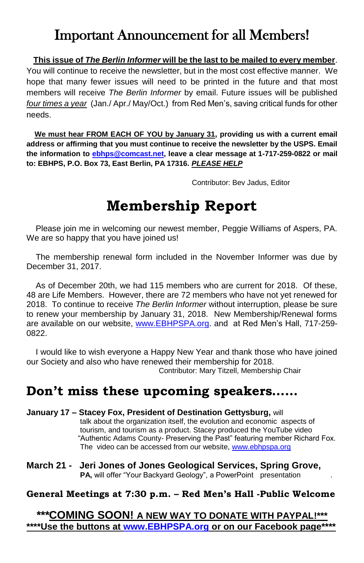# Important Announcement for all Members!

### **This issue of** *The Berlin Informer* **will be the last to be mailed to every member**.

You will continue to receive the newsletter, but in the most cost effective manner. We hope that many fewer issues will need to be printed in the future and that most members will receive *The Berlin Informer* by email. Future issues will be published *four times a year* (Jan./ Apr./ May/Oct.) from Red Men's, saving critical funds for other needs.

 **We must hear FROM EACH OF YOU by January 31, providing us with a current email address or affirming that you must continue to receive the newsletter by the USPS. Email the information to [ebhps@comcast.net,](mailto:ebhps@comcast.net) leave a clear message at 1-717-259-0822 or mail to: EBHPS, P.O. Box 73, East Berlin, PA 17316.** *PLEASE HELP*

Contributor: Bev Jadus, Editor

# **Membership Report**

 Please join me in welcoming our newest member, Peggie Williams of Aspers, PA. We are so happy that you have joined us!

 The membership renewal form included in the November Informer was due by December 31, 2017.

 As of December 20th, we had 115 members who are current for 2018. Of these, 48 are Life Members. However, there are 72 members who have not yet renewed for 2018. To continue to receive *The Berlin Informer* without interruption, please be sure to renew your membership by January 31, 2018. New Membership/Renewal forms are available on our website, [www.EBHPSPA.org.](http://www.ebhpspa.org/) and at Red Men's Hall, 717-259- 0822.

 I would like to wish everyone a Happy New Year and thank those who have joined our Society and also who have renewed their membership for 2018. Contributor: Mary Titzell, Membership Chair

## **Don't miss these upcoming speakers……**

- **January 17 – Stacey Fox, President of Destination Gettysburg,** will talk about the organization itself, the evolution and economic aspects of tourism, and tourism as a product. Stacey produced the YouTube video "Authentic Adams County- Preserving the Past" featuring member Richard Fox. The video can be accessed from our website[, www.ebhpspa.org](http://www.ebhpspa.org/)
- **March 21 Jeri Jones of Jones Geological Services, Spring Grove, PA, will offer "Your Backyard Geology", a PowerPoint presentation .**

#### **General Meetings at 7:30 p.m. – Red Men's Hall -Public Welcome**

*\*\*\****COMING SOON! A NEW WAY TO DONATE WITH PAYPAL!\*\*\* \*\*\*\*Use the buttons at [www.EBHPSPA.org](http://www.ebhpspa.org/) or on our Facebook page\*\*\*\***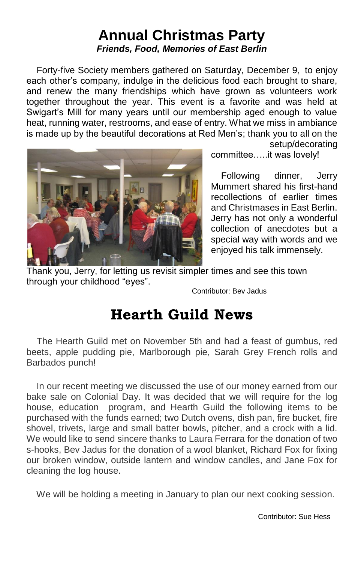## **Annual Christmas Party** *Friends, Food, Memories of East Berlin*

Forty-five Society members gathered on Saturday, December 9, to enjoy each other's company, indulge in the delicious food each brought to share, and renew the many friendships which have grown as volunteers work together throughout the year. This event is a favorite and was held at Swigart's Mill for many years until our membership aged enough to value heat, running water, restrooms, and ease of entry. What we miss in ambiance is made up by the beautiful decorations at Red Men's; thank you to all on the



committee…..it was lovely!

setup/decorating

 Following dinner, Jerry Mummert shared his first-hand recollections of earlier times and Christmases in East Berlin. Jerry has not only a wonderful collection of anecdotes but a special way with words and we enjoyed his talk immensely.

Thank you, Jerry, for letting us revisit simpler times and see this town through your childhood "eyes".

Contributor: Bev Jadus

# **Hearth Guild News**

 The Hearth Guild met on November 5th and had a feast of gumbus, red beets, apple pudding pie, Marlborough pie, Sarah Grey French rolls and Barbados punch!

 In our recent meeting we discussed the use of our money earned from our bake sale on Colonial Day. It was decided that we will require for the log house, education program, and Hearth Guild the following items to be purchased with the funds earned; two Dutch ovens, dish pan, fire bucket, fire shovel, trivets, large and small batter bowls, pitcher, and a crock with a lid. We would like to send sincere thanks to Laura Ferrara for the donation of two s-hooks, Bev Jadus for the donation of a wool blanket, Richard Fox for fixing our broken window, outside lantern and window candles, and Jane Fox for cleaning the log house.

We will be holding a meeting in January to plan our next cooking session.

Contributor: Sue Hess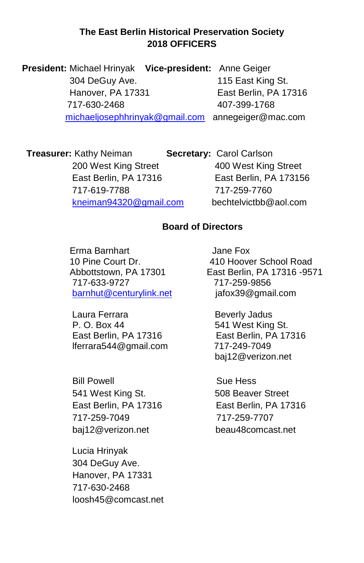### **The East Berlin Historical Preservation Society 2018 OFFICERS**

 **President:** Michael Hrinyak **Vice-president:** Anne Geiger 304 DeGuy Ave. 115 East King St. Hanover, PA 17331 East Berlin, PA 17316 717-630-2468 407-399-1768 [michaeljosephhrinyak@gmail.com](mailto:michaeljosephhrinyak@gmail.com) annegeiger@mac.com

**Treasurer:** Kathy Neiman **Secretary:** Carol Carlson 200 West King Street 400 West King Street East Berlin, PA 17316 East Berlin, PA 173156 717-619-7788 717-259-7760 [kneiman94320@gmail.com](mailto:kneimam94320@gmail.com) bechtelvictbb@aol.com

### **Board of Directors**

 Erma Barnhart Jane Fox 717-633-9727 717-259-9856 [barnhut@centurylink.net](mailto:barnhut@centurylink.net) jafox39@gmail.com

Laura Ferrara **Beverly Jadus** P. O. Box 44 541 West King St. East Berlin, PA 17316 East Berlin, PA 17316 lferrara544@gmail.com 717-249-7049

Bill Powell Sue Hess 541 West King St. 508 Beaver Street East Berlin, PA 17316 East Berlin, PA 17316 717-259-7049 717-259-7707 baj12@verizon.net beau48comcast.net

 Lucia Hrinyak 304 DeGuy Ave. Hanover, PA 17331 717-630-2468 loosh45@comcast.net

 10 Pine Court Dr. 410 Hoover School Road Abbottstown, PA 17301 East Berlin, PA 17316 -9571

baj12@verizon.net